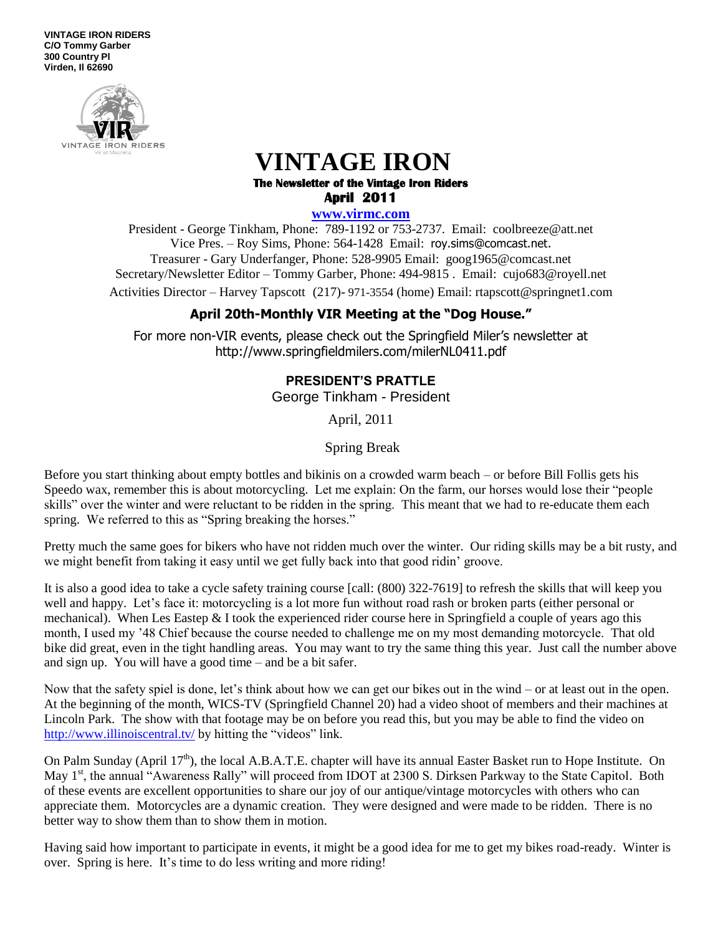**VINTAGE IRON RIDERS C/O Tommy Garber 300 Country Pl Virden, Il 62690**



# **VINTAGE IRON The Newsletter of the Vintage Iron Riders April 2011**

**www.virmc.com** 

President - George Tinkham, Phone: 789-1192 or 753-2737. Email: coolbreeze@att.net Vice Pres. – Roy Sims, Phone: 564-1428 Email: [roy.sims@comcast.net.](mailto:roy.sims@comcast.net) Treasurer - Gary Underfanger, Phone: 528-9905 Email: goog1965@comcast.net Secretary/Newsletter Editor – Tommy Garber, Phone: 494-9815 . Email: cujo683@royell.net Activities Director – Harvey Tapscott (217)- 971-3554 (home) Email: rtapscott@springnet1.com

## **April 20th-Monthly VIR Meeting at the "Dog House."**

For more non-VIR events, please check out the Springfield Miler's newsletter at http://www.springfieldmilers.com/milerNL0411.pdf

## **PRESIDENT'S PRATTLE**

George Tinkham - President

April, 2011

Spring Break

Before you start thinking about empty bottles and bikinis on a crowded warm beach – or before Bill Follis gets his Speedo wax, remember this is about motorcycling. Let me explain: On the farm, our horses would lose their "people skills" over the winter and were reluctant to be ridden in the spring. This meant that we had to re-educate them each spring. We referred to this as "Spring breaking the horses."

Pretty much the same goes for bikers who have not ridden much over the winter. Our riding skills may be a bit rusty, and we might benefit from taking it easy until we get fully back into that good ridin' groove.

It is also a good idea to take a cycle safety training course [call: (800) 322-7619] to refresh the skills that will keep you well and happy. Let's face it: motorcycling is a lot more fun without road rash or broken parts (either personal or mechanical). When Les Eastep  $& 1$  took the experienced rider course here in Springfield a couple of years ago this month, I used my '48 Chief because the course needed to challenge me on my most demanding motorcycle. That old bike did great, even in the tight handling areas. You may want to try the same thing this year. Just call the number above and sign up. You will have a good time – and be a bit safer.

Now that the safety spiel is done, let's think about how we can get our bikes out in the wind – or at least out in the open. At the beginning of the month, WICS-TV (Springfield Channel 20) had a video shoot of members and their machines at Lincoln Park. The show with that footage may be on before you read this, but you may be able to find the video on http://www.illinoiscentral.tv/ by hitting the "videos" link.

On Palm Sunday (April  $17<sup>th</sup>$ ), the local A.B.A.T.E. chapter will have its annual Easter Basket run to Hope Institute. On May 1<sup>st</sup>, the annual "Awareness Rally" will proceed from IDOT at 2300 S. Dirksen Parkway to the State Capitol. Both of these events are excellent opportunities to share our joy of our antique/vintage motorcycles with others who can appreciate them. Motorcycles are a dynamic creation. They were designed and were made to be ridden. There is no better way to show them than to show them in motion.

Having said how important to participate in events, it might be a good idea for me to get my bikes road-ready. Winter is over. Spring is here. It's time to do less writing and more riding!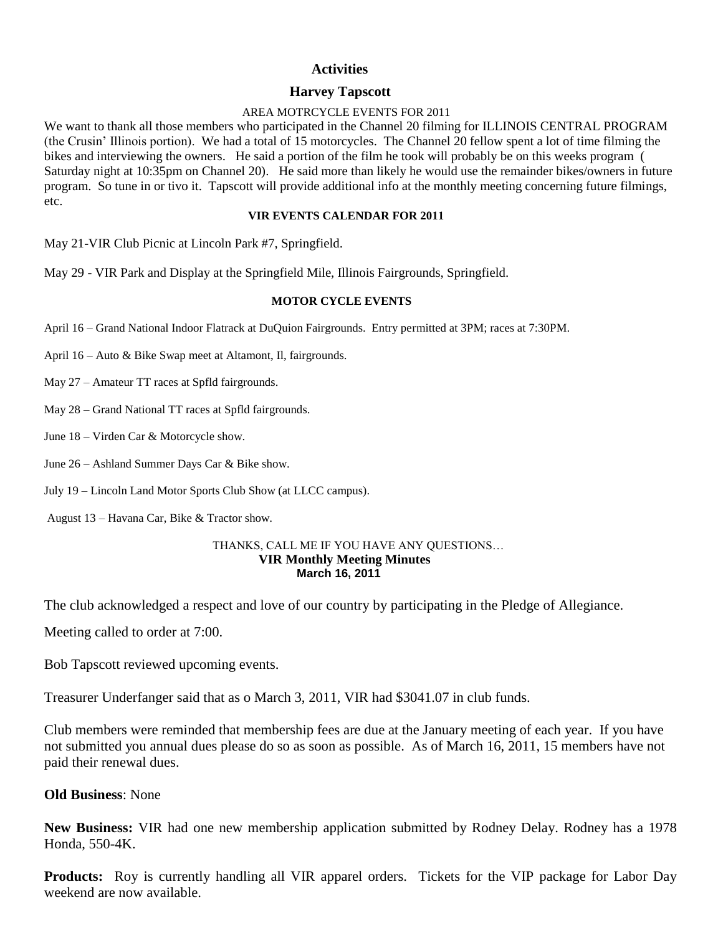## **Activities**

### **Harvey Tapscott**

#### AREA MOTRCYCLE EVENTS FOR 2011

We want to thank all those members who participated in the Channel 20 filming for ILLINOIS CENTRAL PROGRAM (the Crusin' Illinois portion). We had a total of 15 motorcycles. The Channel 20 fellow spent a lot of time filming the bikes and interviewing the owners. He said a portion of the film he took will probably be on this weeks program ( Saturday night at 10:35pm on Channel 20). He said more than likely he would use the remainder bikes/owners in future program. So tune in or tivo it. Tapscott will provide additional info at the monthly meeting concerning future filmings, etc.

#### **VIR EVENTS CALENDAR FOR 2011**

May 21-VIR Club Picnic at Lincoln Park #7, Springfield.

May 29 - VIR Park and Display at the Springfield Mile, Illinois Fairgrounds, Springfield.

#### **MOTOR CYCLE EVENTS**

April 16 – Grand National Indoor Flatrack at DuQuion Fairgrounds. Entry permitted at 3PM; races at 7:30PM.

April 16 – Auto & Bike Swap meet at Altamont, Il, fairgrounds.

May 27 – Amateur TT races at Spfld fairgrounds.

May 28 – Grand National TT races at Spfld fairgrounds.

June 18 – Virden Car & Motorcycle show.

June 26 – Ashland Summer Days Car & Bike show.

July 19 – Lincoln Land Motor Sports Club Show (at LLCC campus).

August 13 – Havana Car, Bike & Tractor show.

#### THANKS, CALL ME IF YOU HAVE ANY QUESTIONS… **VIR Monthly Meeting Minutes March 16, 2011**

The club acknowledged a respect and love of our country by participating in the Pledge of Allegiance.

Meeting called to order at 7:00.

Bob Tapscott reviewed upcoming events.

Treasurer Underfanger said that as o March 3, 2011, VIR had \$3041.07 in club funds.

Club members were reminded that membership fees are due at the January meeting of each year. If you have not submitted you annual dues please do so as soon as possible. As of March 16, 2011, 15 members have not paid their renewal dues.

## **Old Business**: None

**New Business:** VIR had one new membership application submitted by Rodney Delay. Rodney has a 1978 Honda, 550-4K.

**Products:** Roy is currently handling all VIR apparel orders. Tickets for the VIP package for Labor Day weekend are now available.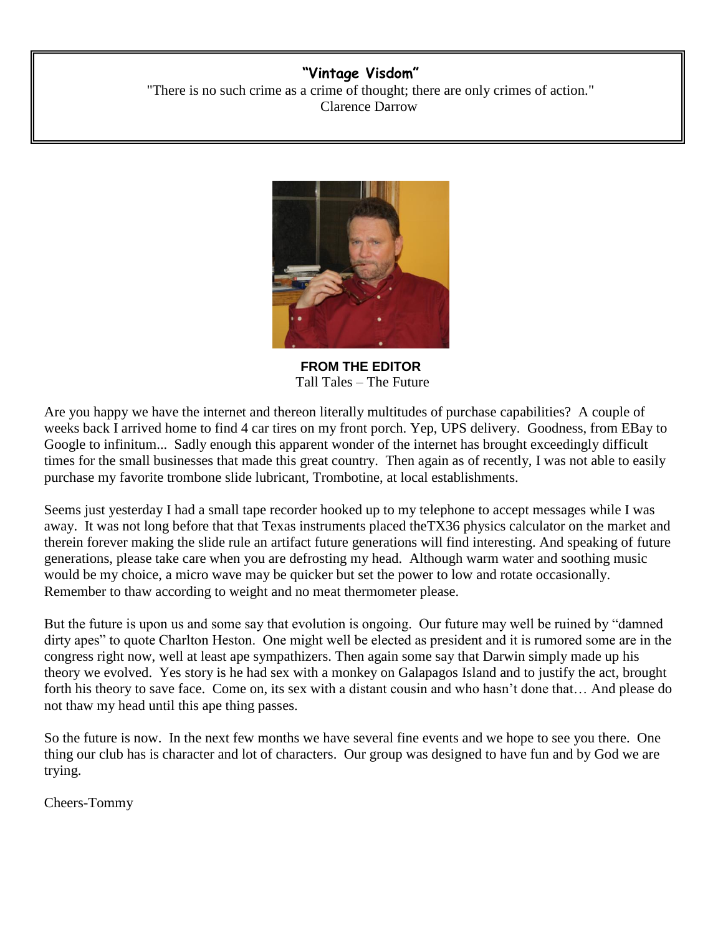## **"Vintage Visdom"**

 "There is no such crime as a crime of thought; there are only crimes of action." Clarence Darrow



**FROM THE EDITOR** Tall Tales – The Future

Are you happy we have the internet and thereon literally multitudes of purchase capabilities? A couple of weeks back I arrived home to find 4 car tires on my front porch. Yep, UPS delivery. Goodness, from EBay to Google to infinitum... Sadly enough this apparent wonder of the internet has brought exceedingly difficult times for the small businesses that made this great country. Then again as of recently, I was not able to easily purchase my favorite trombone slide lubricant, Trombotine, at local establishments.

Seems just yesterday I had a small tape recorder hooked up to my telephone to accept messages while I was away. It was not long before that that Texas instruments placed theTX36 physics calculator on the market and therein forever making the slide rule an artifact future generations will find interesting. And speaking of future generations, please take care when you are defrosting my head. Although warm water and soothing music would be my choice, a micro wave may be quicker but set the power to low and rotate occasionally. Remember to thaw according to weight and no meat thermometer please.

But the future is upon us and some say that evolution is ongoing. Our future may well be ruined by "damned dirty apes" to quote Charlton Heston. One might well be elected as president and it is rumored some are in the congress right now, well at least ape sympathizers. Then again some say that Darwin simply made up his theory we evolved. Yes story is he had sex with a monkey on Galapagos Island and to justify the act, brought forth his theory to save face. Come on, its sex with a distant cousin and who hasn't done that… And please do not thaw my head until this ape thing passes.

So the future is now. In the next few months we have several fine events and we hope to see you there. One thing our club has is character and lot of characters. Our group was designed to have fun and by God we are trying.

Cheers-Tommy